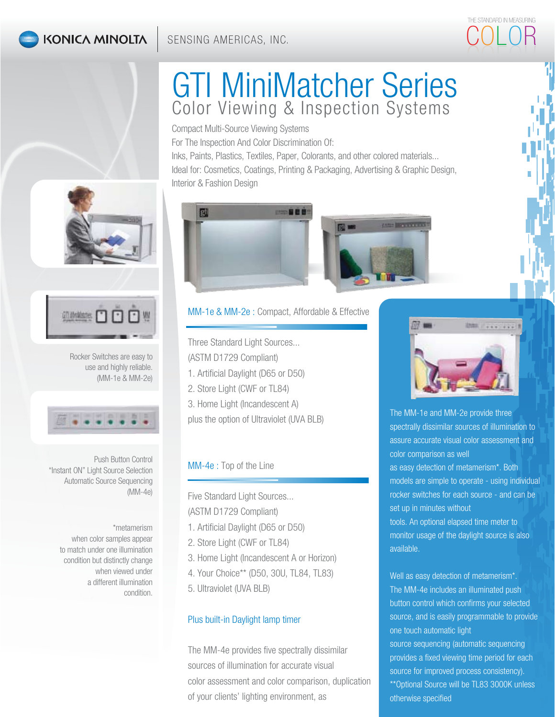## **KONICA MINOLTA**

# GTI MiniMatcher Series Color Viewing & Inspection Systems

Compact Multi-Source Viewing Systems For The Inspection And Color Discrimination Of: Inks, Paints, Plastics, Textiles, Paper, Colorants, and other colored materials... Ideal for: Cosmetics, Coatings, Printing & Packaging, Advertising & Graphic Design, Interior & Fashion Design





Rocker Switches are easy to use and highly reliable. (MM-1e & MM-2e)



Push Button Control "Instant ON" Light Source Selection Automatic Source Sequencing (MM-4e)

\*metamerism when color samples appear to match under one illumination condition but distinctly change when viewed under a different illumination condition.



MM-1e & MM-2e : Compact, Affordable & Effective

Three Standard Light Sources...

(ASTM D1729 Compliant)

- 1. Artificial Daylight (D65 or D50)
- 2. Store Light (CWF or TL84)
- 3. Home Light (Incandescent A)

plus the option of Ultraviolet (UVA BLB)

### MM-4e : Top of the Line

Five Standard Light Sources... (ASTM D1729 Compliant)

- 1. Artificial Daylight (D65 or D50)
- 2. Store Light (CWF or TL84)
- 3. Home Light (Incandescent A or Horizon)
- 4. Your Choice\*\* (D50, 30U, TL84, TL83)
- 5. Ultraviolet (UVA BLB)

### Plus built-in Daylight lamp timer

The MM-4e provides five spectrally dissimilar sources of illumination for accurate visual color assessment and color comparison, duplication of your clients' lighting environment, as



THE STANDARD IN MEASURING COLOR

The MM-1e and MM-2e provide three spectrally dissimilar sources of illumination to assure accurate visual color assessment and color comparison as well as easy detection of metamerism\*. Both models are simple to operate - using individual rocker switches for each source - and can be set up in minutes without tools. An optional elapsed time meter to monitor usage of the daylight source is also

available.

Well as easy detection of metamerism\*. The MM-4e includes an illuminated push button control which confirms your selected source, and is easily programmable to provide one touch automatic light source sequencing (automatic sequencing

provides a fixed viewing time period for each source for improved process consistency). \*\*Optional Source will be TL83 3000K unless otherwise specified